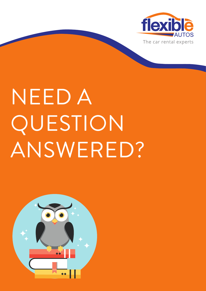

# NEED A QUESTION ANSWERED?

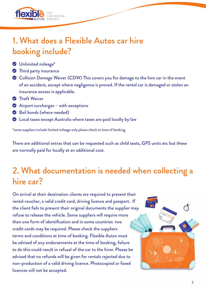

# 1. What does a Flexible Autos car hire booking include?

- **S** Unlimited mileage\*
- **S** Third party insurance
- Collision Damage Waiver (CDW) This covers you for damage to the hire car in the event of an accident, except where negligence is proved. If the rental car is damaged or stolen an insurance excess is applicable.
- **S** Theft Waiver
- Airport surcharges with exceptions
- Bail bonds (where needed)
- Local taxes except Australia where taxes are paid locally by law

\*some suppliers include limited mileage only please check at time of booking

There are additional extras that can be requested such as child seats, GPS units etc but these are normally paid for locally at an additional cost.

# 2. What documentation is needed when collecting a hire car?

On arrival at their destination clients are required to present their rental voucher, a valid credit card, driving licence and passport. If the client fails to present their original documents the supplier may refuse to release the vehicle. Some suppliers will require more than one form of identification and in some countries two credit cards may be required. Please check the suppliers terms and conditions at time of booking. Flexible Autos must be advised of any endorsements at the time of booking, failure to do this could result in refusal of the car to the hirer. Please be advised that no refunds will be given for rentals rejected due to non-production of a valid driving licence. Photocopied or faxed licences will not be accepted.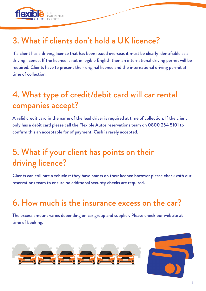

# 3. What if clients don't hold a UK licence?

If a client has a driving licence that has been issued overseas it must be clearly identifiable as a driving licence. If the licence is not in legible English then an international driving permit will be required. Clients have to present their original licence and the international driving permit at time of collection.

# 4. What type of credit/debit card will car rental companies accept?

A valid credit card in the name of the lead driver is required at time of collection. If the client only has a debit card please call the Flexible Autos reservations team on 0800 254 5101 to confirm this an acceptable for of payment. Cash is rarely accepted.

# 5. What if your client has points on their driving licence?

Clients can still hire a vehicle if they have points on their licence however please check with our reservations team to ensure no additional security checks are required.

# 6. How much is the insurance excess on the car?

The excess amount varies depending on car group and supplier. Please check our website at time of booking.

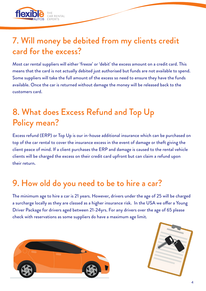

#### 7. Will money be debited from my clients credit card for the excess?

Most car rental suppliers will either 'freeze' or 'debit' the excess amount on a credit card. This means that the card is not actually debited just authorised but funds are not available to spend. Some suppliers will take the full amount of the excess so need to ensure they have the funds available. Once the car is returned without damage the money will be released back to the customers card.

# 8. What does Excess Refund and Top Up Policy mean?

Excess refund (ERP) or Top Up is our in-house additional insurance which can be purchased on top of the car rental to cover the insurance excess in the event of damage or theft giving the client peace of mind. If a client purchases the ERP and damage is caused to the rental vehicle clients will be charged the excess on their credit card upfront but can claim a refund upon their return.

# 9. How old do you need to be to hire a car?

The minimum age to hire a car is 21 years. However, drivers under the age of 25 will be charged a surcharge locally as they are classed as a higher insurance risk. In the USA we offer a Young Driver Package for drivers aged between 21-24yrs. For any drivers over the age of 65 please check with reservations as some suppliers do have a maximum age limit.



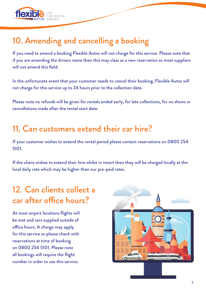

# 10. Amending and cancelling a booking

If you need to amend a booking Flexible Autos will not charge for this service. Please note that if you are amending the drivers name then this may class as a new reservation as most suppliers will not amend this field.

In the unfortunate event that your customer needs to cancel their booking, Flexible Autos will not charge for this service up to 24 hours prior to the collection date.

Please note no refunds will be given for rentals ended early, for late collections, for no shows or cancellations made after the rental start date.

#### 11. Can customers extend their car hire?

If your customer wishes to extend the rental period please contact reservations on 0800 254 5101.

If the client wishes to extend their hire whilst in resort then they will be charged locally at the local daily rate which may be higher than our pre-paid rates.

#### 12. Can clients collect a car after office hours?

At most airport locations flights will be met and cars supplied outside of office hours. A charge may apply for this service so please check with reservations at time of booking on 0800 254 5101. Please note all bookings will require the flight number in order to use this service.

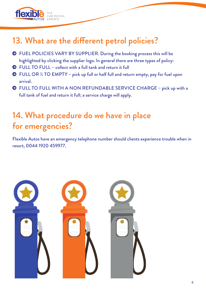# 13. What are the different petrol policies?

- FUEL POLICIES VARY BY SUPPLIER. During the booking process this will be highlighted by clicking the supplier logo. In general there are three types of policy:
- FULL TO FULL collect with a full tank and return it full

THE<br>CAR RENTAL

flexi

- FULL OR ½ TO EMPTY pick up full or half full and return empty, pay for fuel upon arrival.
- FULL TO FULL WITH A NON REFUNDABLE SERVICE CHARGE pick up with a full tank of fuel and return it full; a service charge will apply.

#### 14. What procedure do we have in place for emergencies?

Flexible Autos have an emergency telephone number should clients experience trouble when in resort, 0044 1920 459977.